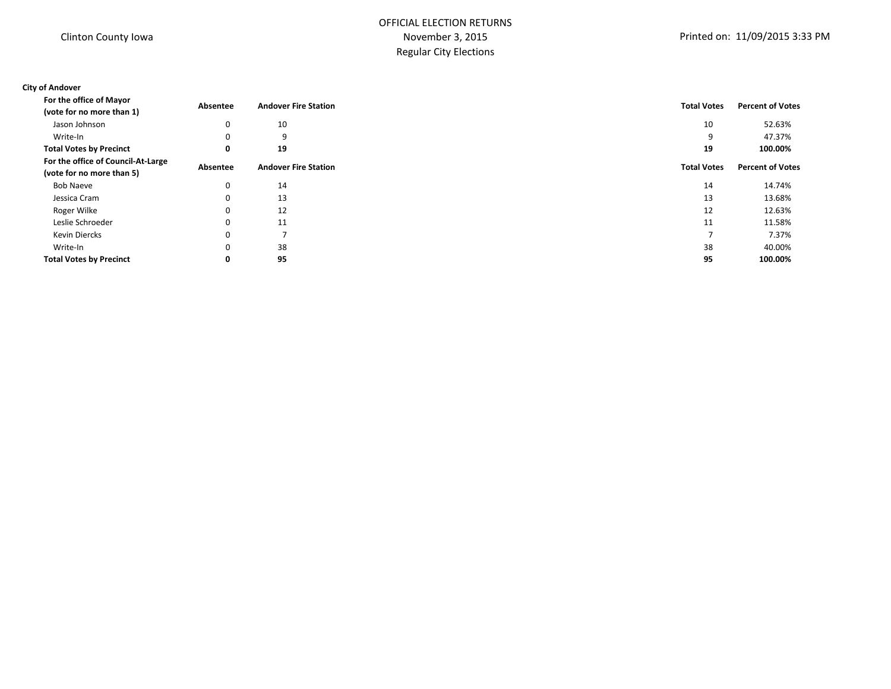# OFFICIAL ELECTION RETURNS November 3, 2015 Regular City Elections

## **City of Andover**

| For the office of Mayor                                         | Absentee    | <b>Andover Fire Station</b> | <b>Total Votes</b> | <b>Percent of Votes</b> |
|-----------------------------------------------------------------|-------------|-----------------------------|--------------------|-------------------------|
| (vote for no more than 1)                                       |             |                             |                    |                         |
| Jason Johnson                                                   | 0           | 10                          | 10                 | 52.63%                  |
| Write-In                                                        | 0           | 9                           | 9                  | 47.37%                  |
| <b>Total Votes by Precinct</b>                                  | 0           | 19                          | 19                 | 100.00%                 |
| For the office of Council-At-Large<br>(vote for no more than 5) | Absentee    | <b>Andover Fire Station</b> | <b>Total Votes</b> | <b>Percent of Votes</b> |
| Bob Naeve                                                       | 0           | 14                          | 14                 | 14.74%                  |
| Jessica Cram                                                    | $\mathbf 0$ | 13                          | 13                 | 13.68%                  |
| Roger Wilke                                                     | 0           | 12                          | 12                 | 12.63%                  |
| Leslie Schroeder                                                | 0           | 11                          | 11                 | 11.58%                  |
| Kevin Diercks                                                   | 0           |                             |                    | 7.37%                   |
| Write-In                                                        | $\mathbf 0$ | 38                          | 38                 | 40.00%                  |
| <b>Total Votes by Precinct</b>                                  | 0           | 95                          | 95                 | 100.00%                 |
|                                                                 |             |                             |                    |                         |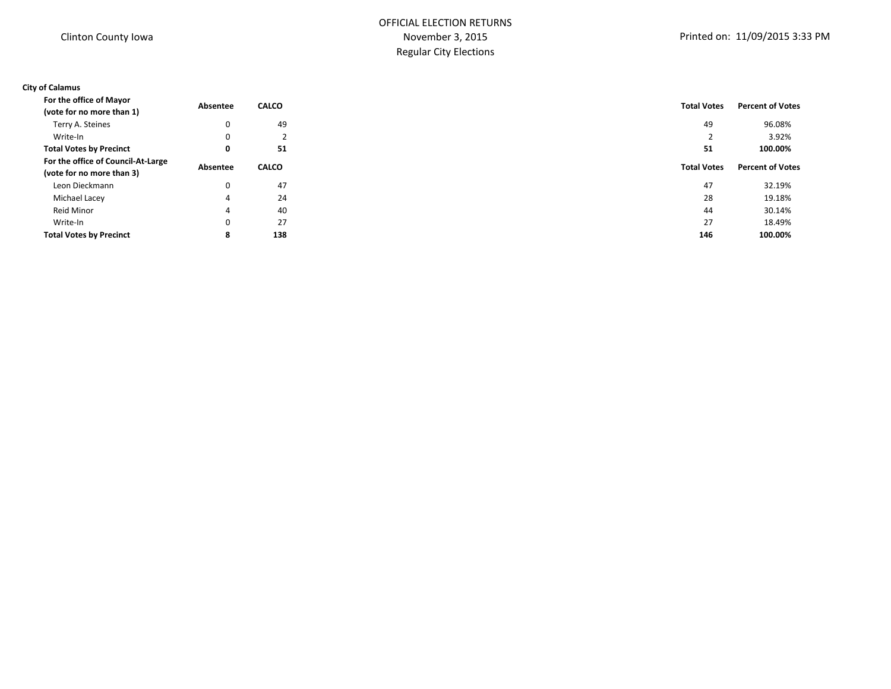# OFFICIAL ELECTION RETURNS November 3, 2015 Regular City Elections

## **City of Calamus**

| For the office of Mayor            | Absentee | <b>CALCO</b>                  | <b>Total Votes</b> | <b>Percent of Votes</b> |  |
|------------------------------------|----------|-------------------------------|--------------------|-------------------------|--|
| (vote for no more than 1)          |          |                               |                    |                         |  |
| Terry A. Steines                   | 0        | 49                            | 49                 | 96.08%                  |  |
| Write-In                           | 0        | $\overline{\phantom{0}}$<br>∠ |                    | 3.92%                   |  |
| <b>Total Votes by Precinct</b>     | 0        | 51                            | 51                 | 100.00%                 |  |
| For the office of Council-At-Large |          | <b>CALCO</b>                  | <b>Total Votes</b> | <b>Percent of Votes</b> |  |
| (vote for no more than 3)          | Absentee |                               |                    |                         |  |
| Leon Dieckmann                     | 0        | 47                            | 47                 | 32.19%                  |  |
| Michael Lacey                      | 4        | 24                            | 28                 | 19.18%                  |  |
| Reid Minor                         | 4        | 40                            | 44                 | 30.14%                  |  |
| Write-In                           | 0        | 27                            | 27                 | 18.49%                  |  |
| <b>Total Votes by Precinct</b>     | 8        | 138                           | 146                | 100.00%                 |  |
|                                    |          |                               |                    |                         |  |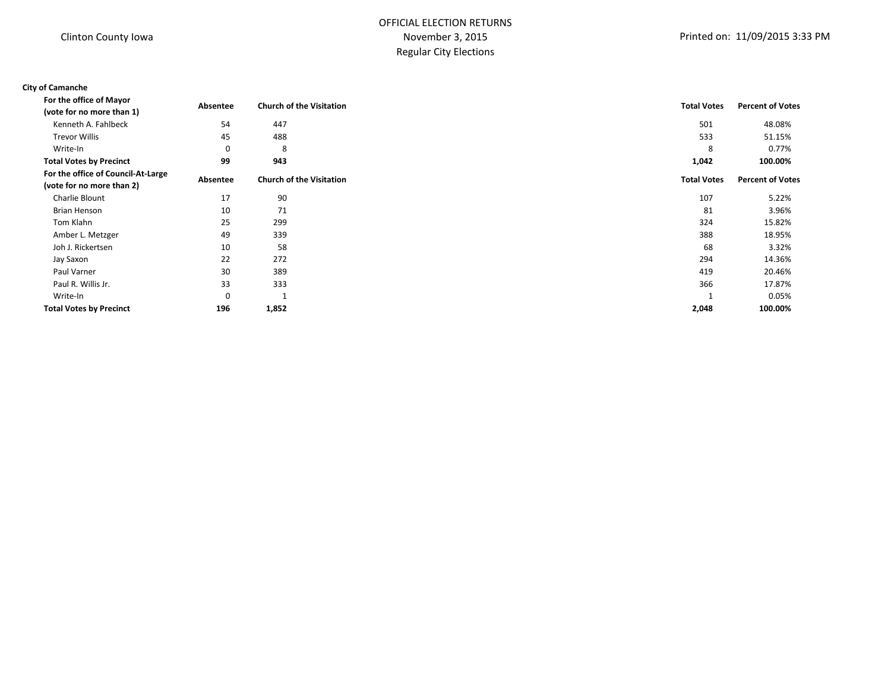# OFFICIAL ELECTION RETURNS November 3, 2015 Regular City Elections

#### **City of Camanche**

| For the office of Mayor            | Absentee    | <b>Church of the Visitation</b> | <b>Total Votes</b> | <b>Percent of Votes</b> |
|------------------------------------|-------------|---------------------------------|--------------------|-------------------------|
| (vote for no more than 1)          |             |                                 |                    |                         |
| Kenneth A. Fahlbeck                | 54          | 447                             | 501                | 48.08%                  |
| <b>Trevor Willis</b>               | 45          | 488                             | 533                | 51.15%                  |
| Write-In                           | $\mathbf 0$ | 8                               | 8                  | 0.77%                   |
| <b>Total Votes by Precinct</b>     | 99          | 943                             | 1,042              | 100.00%                 |
| For the office of Council-At-Large | Absentee    | <b>Church of the Visitation</b> | <b>Total Votes</b> | <b>Percent of Votes</b> |
| (vote for no more than 2)          |             |                                 |                    |                         |
| Charlie Blount                     | 17          | 90                              | 107                | 5.22%                   |
| Brian Henson                       | 10          | 71                              | 81                 | 3.96%                   |
| Tom Klahn                          | 25          | 299                             | 324                | 15.82%                  |
| Amber L. Metzger                   | 49          | 339                             | 388                | 18.95%                  |
| Joh J. Rickertsen                  | 10          | 58                              | 68                 | 3.32%                   |
| Jay Saxon                          | 22          | 272                             | 294                | 14.36%                  |
| Paul Varner                        | 30          | 389                             | 419                | 20.46%                  |
| Paul R. Willis Jr.                 | 33          | 333                             | 366                | 17.87%                  |
| Write-In                           | $\mathbf 0$ | 1                               |                    | 0.05%                   |
| <b>Total Votes by Precinct</b>     | 196         | 1,852                           | 2,048              | 100.00%                 |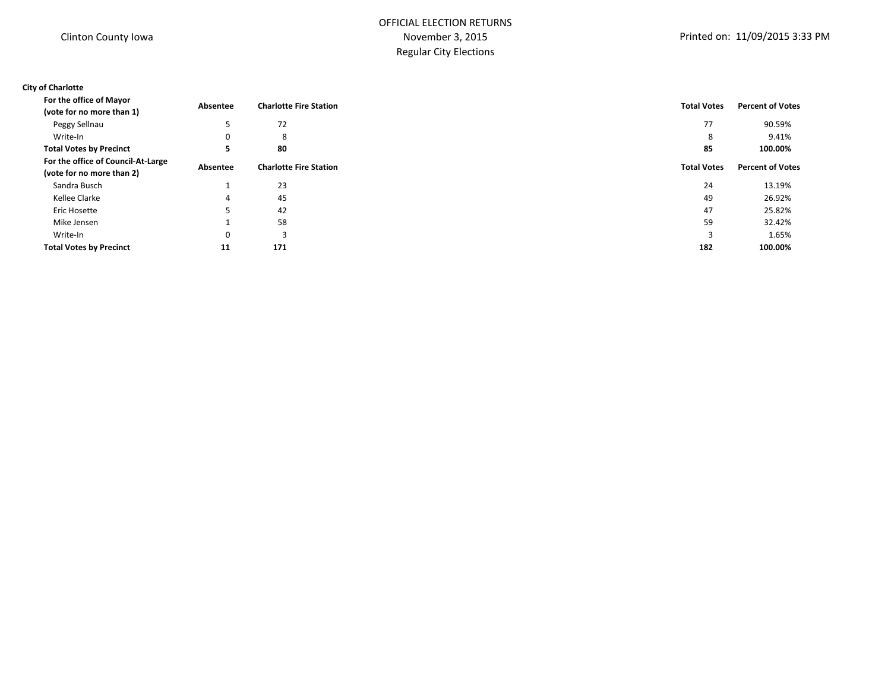# OFFICIAL ELECTION RETURNS November 3, 2015 Regular City Elections

## **City of Charlotte**

| For the office of Mayor<br>(vote for no more than 1)            | Absentee | <b>Charlotte Fire Station</b> | <b>Total Votes</b> | <b>Percent of Votes</b> |
|-----------------------------------------------------------------|----------|-------------------------------|--------------------|-------------------------|
| Peggy Sellnau                                                   | 5        | 72                            | 77                 | 90.59%                  |
| Write-In                                                        | 0        | 8                             | 8                  | 9.41%                   |
| <b>Total Votes by Precinct</b>                                  | э        | 80                            | 85                 | 100.00%                 |
| For the office of Council-At-Large<br>(vote for no more than 2) | Absentee | <b>Charlotte Fire Station</b> | <b>Total Votes</b> | <b>Percent of Votes</b> |
| Sandra Busch                                                    |          | 23                            | 24                 | 13.19%                  |
| Kellee Clarke                                                   | 4        | 45                            | 49                 | 26.92%                  |
| Eric Hosette                                                    | 5        | 42                            | 47                 | 25.82%                  |
| Mike Jensen                                                     |          | 58                            | 59                 | 32.42%                  |
| Write-In                                                        | 0        | 3                             |                    | 1.65%                   |
| <b>Total Votes by Precinct</b>                                  | 11       | 171                           | 182                | 100.00%                 |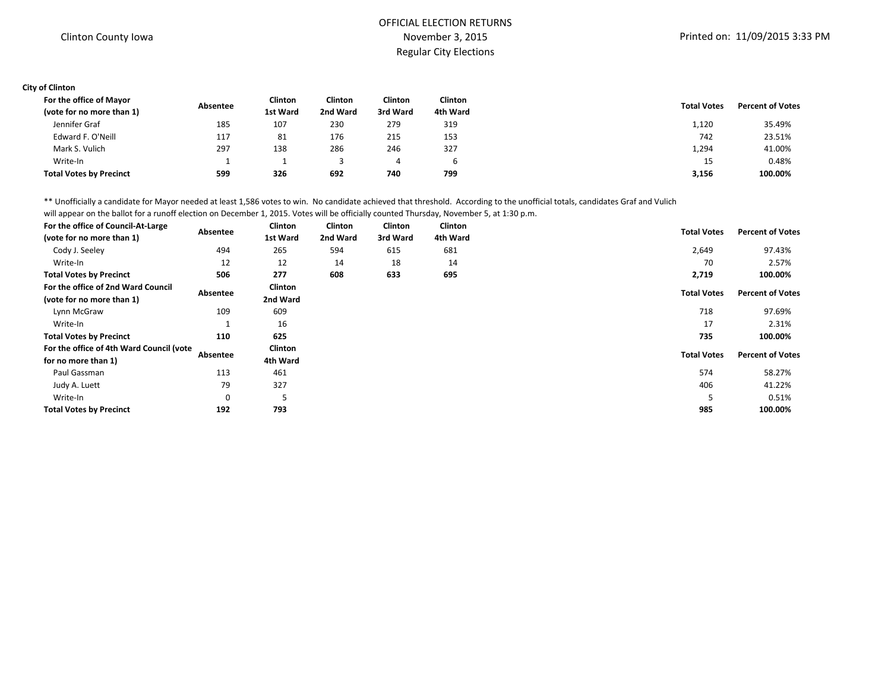## OFFICIAL ELECTION RETURNS November 3, 2015 Regular City Elections

#### **City of Clinton**

| For the office of Mayor        | Absentee | Clinton  | Clinton  | Clinton  | Clinton  | <b>Total Votes</b> | <b>Percent of Votes</b> |
|--------------------------------|----------|----------|----------|----------|----------|--------------------|-------------------------|
| (vote for no more than 1)      |          | 1st Ward | 2nd Ward | 3rd Ward | 4th Ward |                    |                         |
| Jennifer Graf                  | 185      | 107      | 230      | 279      | 319      | 1,120              | 35.49%                  |
| Edward F. O'Neill              | 117      | 81       | 176      | 215      | 153      | 742                | 23.51%                  |
| Mark S. Vulich                 | 297      | 138      | 286      | 246      | 327      | 1,294              | 41.00%                  |
| Write-In                       |          |          |          |          | b        | 15                 | 0.48%                   |
| <b>Total Votes by Precinct</b> | 599      | 326      | 692      | 740      | 799      | 3,156              | 100.00%                 |

\*\* Unofficially a candidate for Mayor needed at least 1,586 votes to win. No candidate achieved that threshold. According to the unofficial totals, candidates Graf and Vulich

will appear on the ballot for a runoff election on December 1, 2015. Votes will be officially counted Thursday, November 5, at 1:30 p.m.

| For the office of Council-At-Large       |             | Clinton  | Clinton  | <b>Clinton</b> | <b>Clinton</b> |                    |                         |
|------------------------------------------|-------------|----------|----------|----------------|----------------|--------------------|-------------------------|
| (vote for no more than 1)                | Absentee    | 1st Ward | 2nd Ward | 3rd Ward       | 4th Ward       | <b>Total Votes</b> | <b>Percent of Votes</b> |
| Cody J. Seeley                           | 494         | 265      | 594      | 615            | 681            | 2,649              | 97.43%                  |
| Write-In                                 | 12          | 12       | 14       | 18             | 14             | 70                 | 2.57%                   |
| <b>Total Votes by Precinct</b>           | 506         | 277      | 608      | 633            | 695            | 2,719              | 100.00%                 |
| For the office of 2nd Ward Council       | Absentee    | Clinton  |          |                |                | <b>Total Votes</b> | <b>Percent of Votes</b> |
| (vote for no more than 1)                |             | 2nd Ward |          |                |                |                    |                         |
| Lynn McGraw                              | 109         | 609      |          |                |                | 718                | 97.69%                  |
| Write-In                                 |             | 16       |          |                |                | 17                 | 2.31%                   |
| <b>Total Votes by Precinct</b>           | 110         | 625      |          |                |                | 735                | 100.00%                 |
| For the office of 4th Ward Council (vote |             | Clinton  |          |                |                | <b>Total Votes</b> | <b>Percent of Votes</b> |
| for no more than 1)                      | Absentee    | 4th Ward |          |                |                |                    |                         |
| Paul Gassman                             | 113         | 461      |          |                |                | 574                | 58.27%                  |
| Judy A. Luett                            | 79          | 327      |          |                |                | 406                | 41.22%                  |
| Write-In                                 | $\mathbf 0$ |          |          |                |                |                    | 0.51%                   |
| <b>Total Votes by Precinct</b>           | 192         | 793      |          |                |                | 985                | 100.00%                 |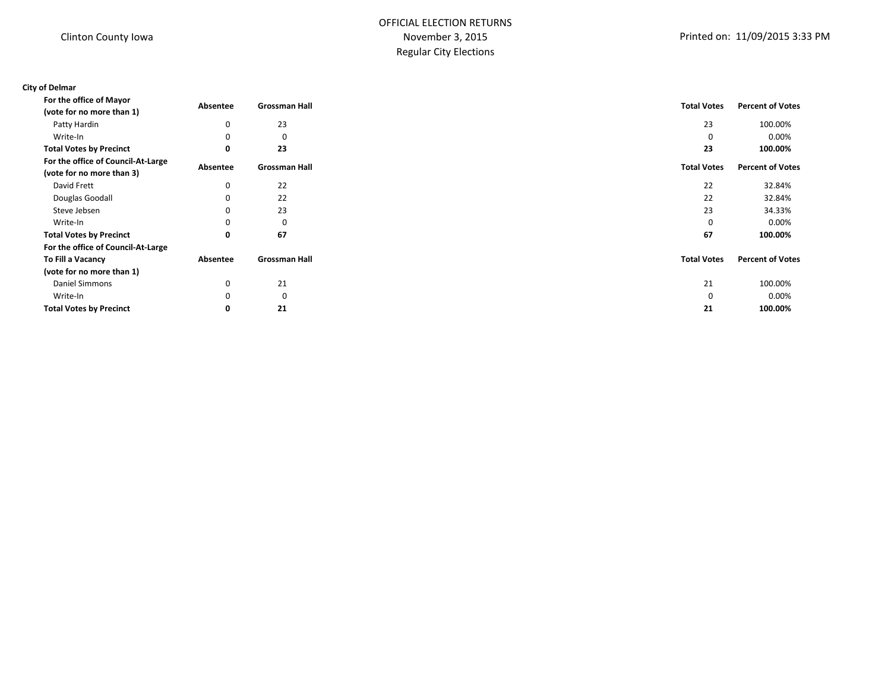# OFFICIAL ELECTION RETURNS November 3, 2015 Regular City Elections

## **City of Delmar**

| For the office of Mayor            | Absentee    | <b>Grossman Hall</b> | <b>Total Votes</b> | <b>Percent of Votes</b> |
|------------------------------------|-------------|----------------------|--------------------|-------------------------|
| (vote for no more than 1)          |             |                      |                    |                         |
| Patty Hardin                       | 0           | 23                   | 23                 | 100.00%                 |
| Write-In                           | 0           | 0                    | 0                  | 0.00%                   |
| <b>Total Votes by Precinct</b>     | 0           | 23                   | 23                 | 100.00%                 |
| For the office of Council-At-Large |             | <b>Grossman Hall</b> | <b>Total Votes</b> | <b>Percent of Votes</b> |
| (vote for no more than 3)          | Absentee    |                      |                    |                         |
| David Frett                        | 0           | 22                   | 22                 | 32.84%                  |
| Douglas Goodall                    | 0           | 22                   | 22                 | 32.84%                  |
| Steve Jebsen                       | 0           | 23                   | 23                 | 34.33%                  |
| Write-In                           | 0           | 0                    | 0                  | 0.00%                   |
| <b>Total Votes by Precinct</b>     | 0           | 67                   | 67                 | 100.00%                 |
| For the office of Council-At-Large |             |                      |                    |                         |
| To Fill a Vacancy                  | Absentee    | <b>Grossman Hall</b> | <b>Total Votes</b> | <b>Percent of Votes</b> |
| (vote for no more than 1)          |             |                      |                    |                         |
| Daniel Simmons                     | 0           | 21                   | 21                 | 100.00%                 |
| Write-In                           | $\mathbf 0$ | 0                    | 0                  | 0.00%                   |
| <b>Total Votes by Precinct</b>     | 0           | 21                   | 21                 | 100.00%                 |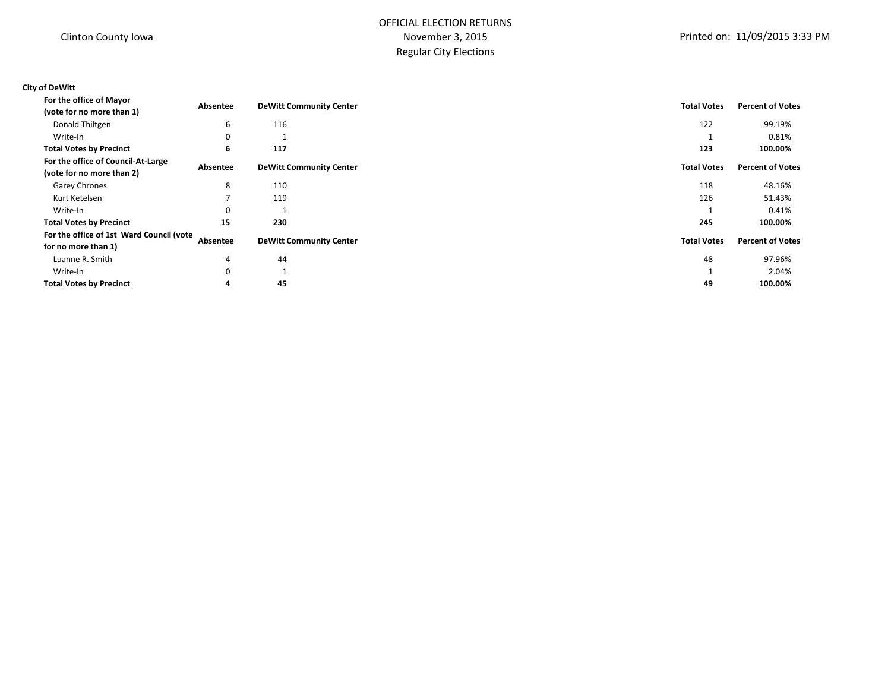# OFFICIAL ELECTION RETURNS November 3, 2015 Regular City Elections

# **City of DeWitt**

| For the office of Mayor                                         | Absentee    | <b>DeWitt Community Center</b> | <b>Total Votes</b> | <b>Percent of Votes</b> |
|-----------------------------------------------------------------|-------------|--------------------------------|--------------------|-------------------------|
| (vote for no more than 1)                                       |             |                                |                    |                         |
| Donald Thiltgen                                                 | 6           | 116                            | 122                | 99.19%                  |
| Write-In                                                        | 0           |                                |                    | 0.81%                   |
| <b>Total Votes by Precinct</b>                                  | 6           | 117                            | 123                | 100.00%                 |
| For the office of Council-At-Large<br>(vote for no more than 2) | Absentee    | <b>DeWitt Community Center</b> | <b>Total Votes</b> | <b>Percent of Votes</b> |
| Garey Chrones                                                   | 8           | 110                            | 118                | 48.16%                  |
| Kurt Ketelsen                                                   |             | 119                            | 126                | 51.43%                  |
| Write-In                                                        | 0           |                                |                    | 0.41%                   |
| <b>Total Votes by Precinct</b>                                  | 15          | 230                            | 245                | 100.00%                 |
| For the office of 1st Ward Council (vote<br>for no more than 1) | Absentee    | <b>DeWitt Community Center</b> | <b>Total Votes</b> | <b>Percent of Votes</b> |
| Luanne R. Smith                                                 | 4           | 44                             | 48                 | 97.96%                  |
| Write-In                                                        | $\mathbf 0$ |                                |                    | 2.04%                   |
| <b>Total Votes by Precinct</b>                                  | 4           | 45                             | 49                 | 100.00%                 |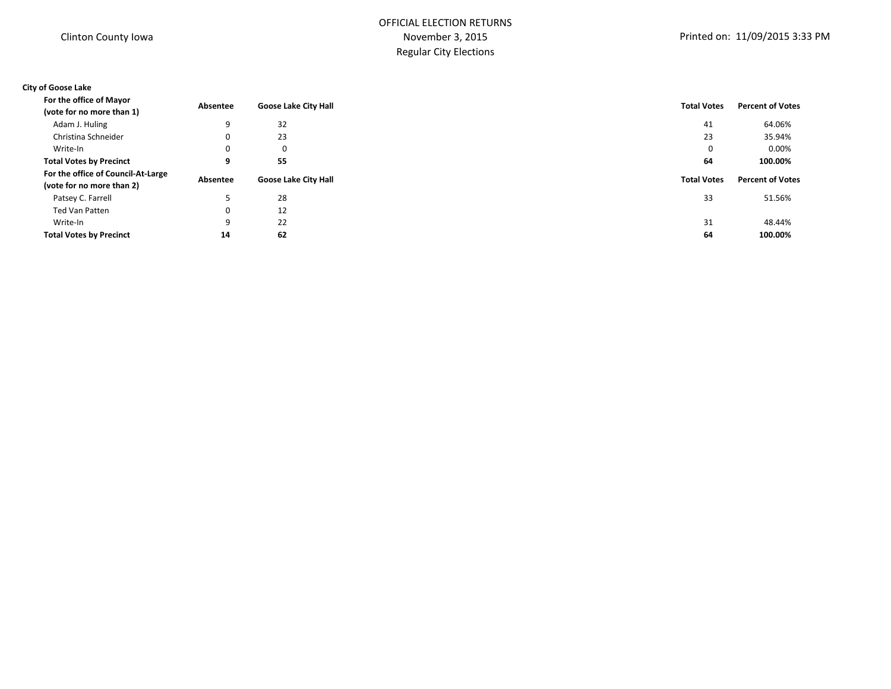# OFFICIAL ELECTION RETURNS November 3, 2015 Regular City Elections

## **City of Goose Lake**

| For the office of Mayor            | Absentee | <b>Goose Lake City Hall</b> | <b>Total Votes</b> | <b>Percent of Votes</b> |  |
|------------------------------------|----------|-----------------------------|--------------------|-------------------------|--|
| (vote for no more than 1)          |          |                             |                    |                         |  |
| Adam J. Huling                     | 9        | 32                          | 41                 | 64.06%                  |  |
| Christina Schneider                | 0        | 23                          | 23                 | 35.94%                  |  |
| Write-In                           | 0        | 0                           | 0                  | $0.00\%$                |  |
| <b>Total Votes by Precinct</b>     | 9        | 55                          | 64                 | 100.00%                 |  |
| For the office of Council-At-Large |          |                             |                    | <b>Percent of Votes</b> |  |
| (vote for no more than 2)          | Absentee | <b>Goose Lake City Hall</b> | <b>Total Votes</b> |                         |  |
| Patsey C. Farrell                  |          | 28                          | 33                 | 51.56%                  |  |
| Ted Van Patten                     | 0        | 12                          |                    |                         |  |
| Write-In                           | 9        | 22                          | 31                 | 48.44%                  |  |
| <b>Total Votes by Precinct</b>     | 14       | 62                          | 64                 | 100.00%                 |  |
|                                    |          |                             |                    |                         |  |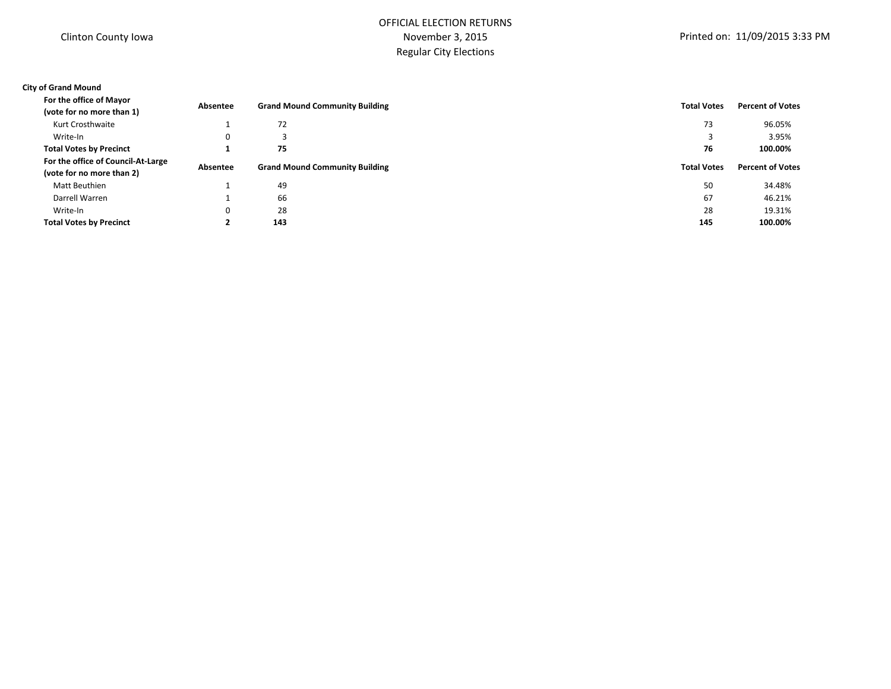# OFFICIAL ELECTION RETURNS November 3, 2015 Regular City Elections

## **City of Grand Mound**

| For the office of Mayor<br>(vote for no more than 1) | Absentee     | <b>Grand Mound Community Building</b> | <b>Total Votes</b> | <b>Percent of Votes</b> |
|------------------------------------------------------|--------------|---------------------------------------|--------------------|-------------------------|
| Kurt Crosthwaite                                     |              | 72                                    | 73                 | 96.05%                  |
| Write-In                                             | 0            |                                       |                    | 3.95%                   |
| <b>Total Votes by Precinct</b>                       |              | 75                                    | 76                 | 100.00%                 |
| For the office of Council-At-Large                   | Absentee     | <b>Grand Mound Community Building</b> | <b>Total Votes</b> | <b>Percent of Votes</b> |
| (vote for no more than 2)                            |              |                                       |                    |                         |
| Matt Beuthien                                        |              | 49                                    | 50                 | 34.48%                  |
| Darrell Warren                                       |              | 66                                    | 67                 | 46.21%                  |
| Write-In                                             | $\mathbf{0}$ | 28                                    | 28                 | 19.31%                  |
| <b>Total Votes by Precinct</b>                       |              | 143                                   | 145                | 100.00%                 |
|                                                      |              |                                       |                    |                         |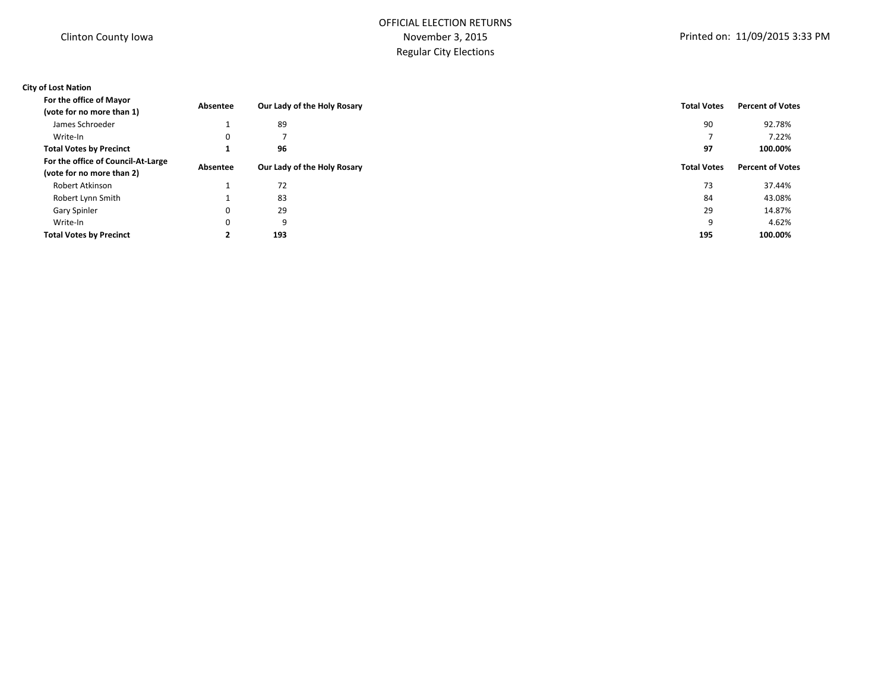# OFFICIAL ELECTION RETURNS November 3, 2015 Regular City Elections

## **City of Lost Nation**

| For the office of Mayor            | Absentee    | Our Lady of the Holy Rosary | <b>Total Votes</b> | <b>Percent of Votes</b> |
|------------------------------------|-------------|-----------------------------|--------------------|-------------------------|
| (vote for no more than 1)          |             |                             |                    |                         |
| James Schroeder                    |             | 89                          | 90                 | 92.78%                  |
| Write-In                           | 0           |                             |                    | 7.22%                   |
| <b>Total Votes by Precinct</b>     |             | 96                          | 97                 | 100.00%                 |
| For the office of Council-At-Large | Absentee    |                             | <b>Total Votes</b> | <b>Percent of Votes</b> |
| (vote for no more than 2)          |             | Our Lady of the Holy Rosary |                    |                         |
| Robert Atkinson                    |             | 72                          | 73                 | 37.44%                  |
| Robert Lynn Smith                  |             | 83                          | 84                 | 43.08%                  |
| Gary Spinler                       | 0           | 29                          | 29                 | 14.87%                  |
| Write-In                           | $\mathbf 0$ | 9                           | 9                  | 4.62%                   |
| <b>Total Votes by Precinct</b>     | ◢           | 193                         | 195                | 100.00%                 |
|                                    |             |                             |                    |                         |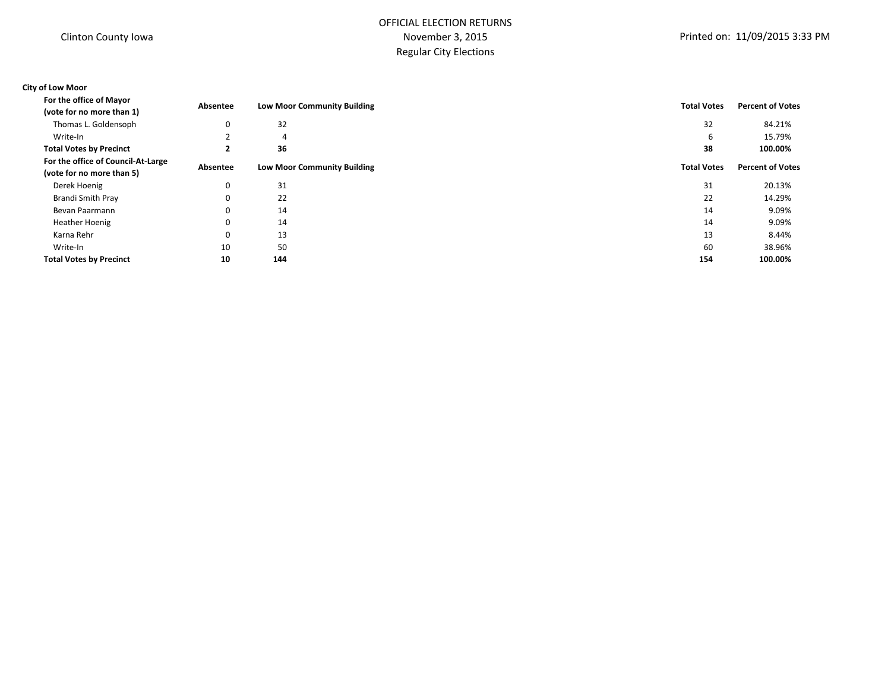# OFFICIAL ELECTION RETURNS November 3, 2015 Regular City Elections

## **City of Low Moor**

| For the office of Mayor<br>Absentee                             |          | <b>Low Moor Community Building</b> | <b>Total Votes</b> | <b>Percent of Votes</b> |  |
|-----------------------------------------------------------------|----------|------------------------------------|--------------------|-------------------------|--|
| (vote for no more than 1)                                       |          |                                    |                    |                         |  |
| Thomas L. Goldensoph                                            | 0        | 32                                 | 32                 | 84.21%                  |  |
| Write-In                                                        |          | 4                                  | 6                  | 15.79%                  |  |
| <b>Total Votes by Precinct</b>                                  |          | 36                                 | 38                 | 100.00%                 |  |
| For the office of Council-At-Large<br>(vote for no more than 5) | Absentee | <b>Low Moor Community Building</b> | <b>Total Votes</b> | <b>Percent of Votes</b> |  |
| Derek Hoenig                                                    | 0        | 31                                 | 31                 | 20.13%                  |  |
| Brandi Smith Pray                                               | 0        | 22                                 | 22                 | 14.29%                  |  |
| Bevan Paarmann                                                  | 0        | 14                                 | 14                 | 9.09%                   |  |
| <b>Heather Hoenig</b>                                           | 0        | 14                                 | 14                 | 9.09%                   |  |
| Karna Rehr                                                      | 0        | 13                                 | 13                 | 8.44%                   |  |
| Write-In                                                        | 10       | 50                                 | 60                 | 38.96%                  |  |
| <b>Total Votes by Precinct</b>                                  | 10       | 144                                | 154                | 100.00%                 |  |
|                                                                 |          |                                    |                    |                         |  |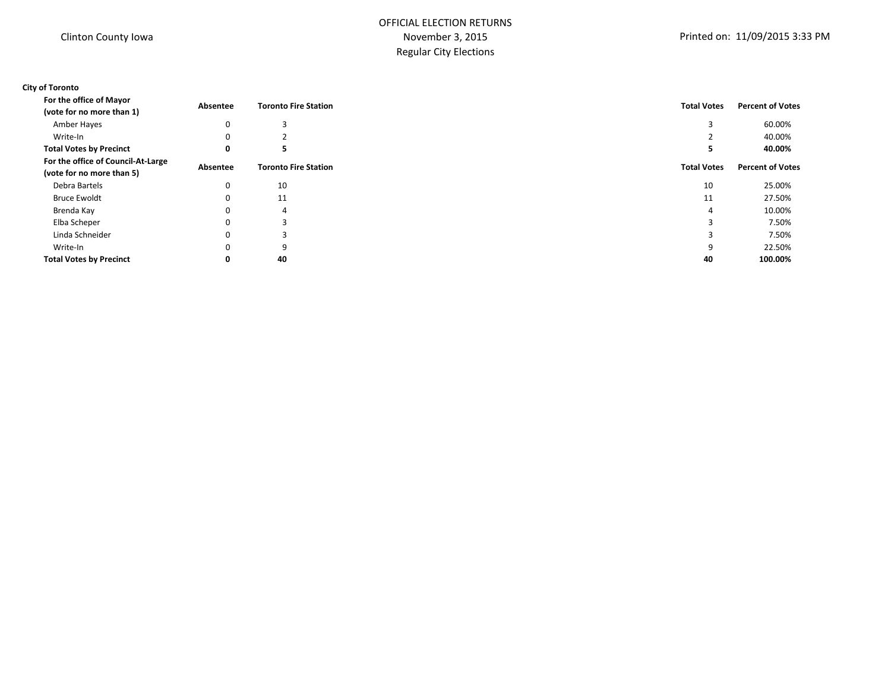# OFFICIAL ELECTION RETURNS November 3, 2015 Regular City Elections

## **City of Toronto**

| For the office of Mayor<br>(vote for no more than 1)            | Absentee    | <b>Toronto Fire Station</b> | <b>Total Votes</b> | <b>Percent of Votes</b> |
|-----------------------------------------------------------------|-------------|-----------------------------|--------------------|-------------------------|
|                                                                 |             |                             |                    |                         |
| Amber Hayes                                                     | 0           |                             |                    | 60.00%                  |
| Write-In                                                        | $\Omega$    |                             |                    | 40.00%                  |
| <b>Total Votes by Precinct</b>                                  | 0           |                             | ۰,                 | 40.00%                  |
| For the office of Council-At-Large<br>(vote for no more than 5) | Absentee    | <b>Toronto Fire Station</b> | <b>Total Votes</b> | <b>Percent of Votes</b> |
| Debra Bartels                                                   | $\mathbf 0$ | 10                          | 10                 | 25.00%                  |
| <b>Bruce Ewoldt</b>                                             | 0           | 11                          | 11                 | 27.50%                  |
| Brenda Kay                                                      | $\mathbf 0$ | 4                           | 4                  | 10.00%                  |
| Elba Scheper                                                    | 0           | 3                           | 3                  | 7.50%                   |
| Linda Schneider                                                 | $\Omega$    | э.                          |                    | 7.50%                   |
| Write-In                                                        | $\mathbf 0$ | 9                           | 9                  | 22.50%                  |
| <b>Total Votes by Precinct</b>                                  | 0           | 40                          | 40                 | 100.00%                 |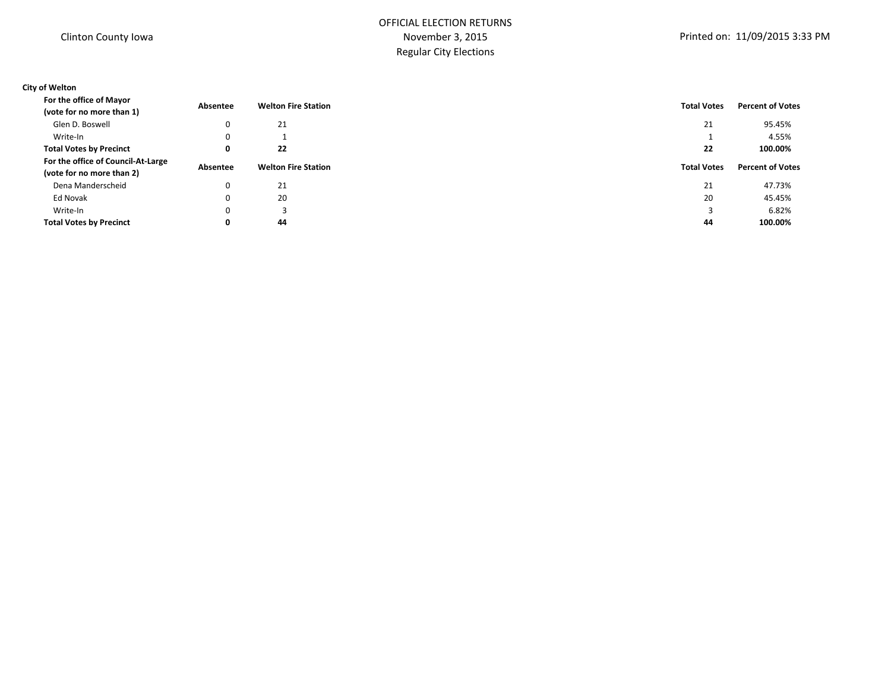# OFFICIAL ELECTION RETURNS November 3, 2015 Regular City Elections

## **City of Welton**

| Glen D. Boswell<br>21<br>21<br>0<br>Write-In<br>0<br><b>Total Votes by Precinct</b><br>22<br>22<br>0<br>For the office of Council-At-Large<br><b>Welton Fire Station</b><br><b>Total Votes</b><br>Absentee<br>(vote for no more than 2) | 95.45%<br>4.55%<br>100.00% |
|-----------------------------------------------------------------------------------------------------------------------------------------------------------------------------------------------------------------------------------------|----------------------------|
|                                                                                                                                                                                                                                         |                            |
|                                                                                                                                                                                                                                         |                            |
|                                                                                                                                                                                                                                         |                            |
|                                                                                                                                                                                                                                         | <b>Percent of Votes</b>    |
|                                                                                                                                                                                                                                         |                            |
| 21<br>Dena Manderscheid<br>0<br>21                                                                                                                                                                                                      | 47.73%                     |
| 20<br>Ed Novak<br>20<br>0                                                                                                                                                                                                               | 45.45%                     |
| Write-In<br>0<br>3                                                                                                                                                                                                                      | 6.82%                      |
| <b>Total Votes by Precinct</b><br>44<br>44<br>0                                                                                                                                                                                         | 100.00%                    |